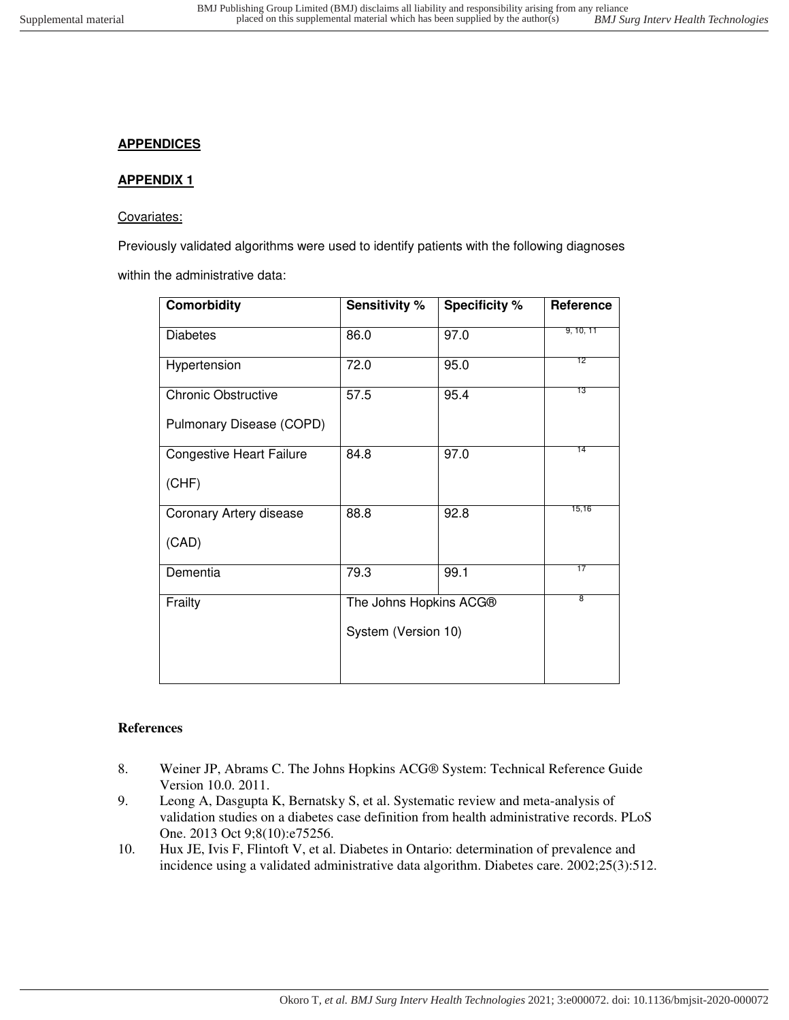## **APPENDICES**

## **APPENDIX 1**

## Covariates:

Previously validated algorithms were used to identify patients with the following diagnoses

within the administrative data:

| <b>Comorbidity</b>              | <b>Sensitivity %</b>   | <b>Specificity %</b> | Reference |
|---------------------------------|------------------------|----------------------|-----------|
| <b>Diabetes</b>                 | 86.0                   | 97.0                 | 9, 10, 11 |
| Hypertension                    | 72.0                   | 95.0                 | 12        |
| <b>Chronic Obstructive</b>      | 57.5                   | 95.4                 | 13        |
| Pulmonary Disease (COPD)        |                        |                      |           |
| <b>Congestive Heart Failure</b> | 84.8                   | 97.0                 | 14        |
| (CHF)                           |                        |                      |           |
| Coronary Artery disease         | 88.8                   | 92.8                 | 15,16     |
| (CAD)                           |                        |                      |           |
| Dementia                        | 79.3                   | 99.1                 | 17        |
| Frailty                         | The Johns Hopkins ACG® |                      | 8         |
|                                 | System (Version 10)    |                      |           |

## **References**

- 8. Weiner JP, Abrams C. The Johns Hopkins ACG® System: Technical Reference Guide Version 10.0. 2011.
- 9. Leong A, Dasgupta K, Bernatsky S, et al. Systematic review and meta-analysis of validation studies on a diabetes case definition from health administrative records. PLoS One. 2013 Oct 9;8(10):e75256.
- 10. Hux JE, Ivis F, Flintoft V, et al. Diabetes in Ontario: determination of prevalence and incidence using a validated administrative data algorithm. Diabetes care. 2002;25(3):512.